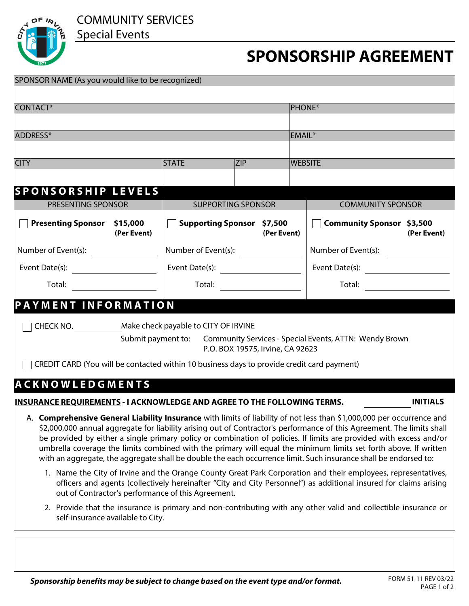COMMUNITY SERVICES

Special Events



## **SPONSORSHIP AGREEMENT**

| SPONSOR NAME (As you would like to be recognized)                                                                                                                                                                                                                                                                                                                                                                                                                                                                                                                                                              |                                                    |             |                                                          |  |
|----------------------------------------------------------------------------------------------------------------------------------------------------------------------------------------------------------------------------------------------------------------------------------------------------------------------------------------------------------------------------------------------------------------------------------------------------------------------------------------------------------------------------------------------------------------------------------------------------------------|----------------------------------------------------|-------------|----------------------------------------------------------|--|
| CONTACT*                                                                                                                                                                                                                                                                                                                                                                                                                                                                                                                                                                                                       |                                                    |             | <b>PHONE*</b>                                            |  |
| ADDRESS*                                                                                                                                                                                                                                                                                                                                                                                                                                                                                                                                                                                                       |                                                    |             | EMAIL*                                                   |  |
|                                                                                                                                                                                                                                                                                                                                                                                                                                                                                                                                                                                                                |                                                    |             |                                                          |  |
| <b>CITY</b>                                                                                                                                                                                                                                                                                                                                                                                                                                                                                                                                                                                                    | <b>STATE</b><br><b>ZIP</b>                         |             | <b>WEBSITE</b>                                           |  |
|                                                                                                                                                                                                                                                                                                                                                                                                                                                                                                                                                                                                                | $\overline{\phantom{a}}$                           |             |                                                          |  |
| <b>SPONSORSHIP LEVELS</b>                                                                                                                                                                                                                                                                                                                                                                                                                                                                                                                                                                                      |                                                    |             |                                                          |  |
| PRESENTING SPONSOR                                                                                                                                                                                                                                                                                                                                                                                                                                                                                                                                                                                             | <b>SUPPORTING SPONSOR</b>                          |             | <b>COMMUNITY SPONSOR</b>                                 |  |
| <b>Presenting Sponsor \$15,000</b><br>(Per Event)                                                                                                                                                                                                                                                                                                                                                                                                                                                                                                                                                              | <b>Supporting Sponsor \$7,500</b>                  | (Per Event) | <b>Community Sponsor \$3,500</b><br>(Per Event)          |  |
|                                                                                                                                                                                                                                                                                                                                                                                                                                                                                                                                                                                                                |                                                    |             |                                                          |  |
| Event Date(s): $\qquad \qquad \qquad$                                                                                                                                                                                                                                                                                                                                                                                                                                                                                                                                                                          | Event Date(s): $\frac{1}{2}$ Development Date (s): |             | Event Date(s): $\qquad \qquad \qquad \qquad$             |  |
| Total:                                                                                                                                                                                                                                                                                                                                                                                                                                                                                                                                                                                                         |                                                    |             | Total:<br><u> 1980 - Jan Barbara Barbara, manazarta </u> |  |
| <b>PAYMENT INFORMATION</b>                                                                                                                                                                                                                                                                                                                                                                                                                                                                                                                                                                                     |                                                    |             |                                                          |  |
| CHECK NO. Make check payable to CITY OF IRVINE<br>Submit payment to: Community Services - Special Events, ATTN: Wendy Brown<br>P.O. BOX 19575, Irvine, CA 92623<br>CREDIT CARD (You will be contacted within 10 business days to provide credit card payment)                                                                                                                                                                                                                                                                                                                                                  |                                                    |             |                                                          |  |
| <b>ACKNOWLEDGMENTS</b>                                                                                                                                                                                                                                                                                                                                                                                                                                                                                                                                                                                         |                                                    |             |                                                          |  |
| INSURANCE REQUIREMENTS - I ACKNOWLEDGE AND AGREE TO THE FOLLOWING TERMS.<br><b>INITIALS</b>                                                                                                                                                                                                                                                                                                                                                                                                                                                                                                                    |                                                    |             |                                                          |  |
| A. Comprehensive General Liability Insurance with limits of liability of not less than \$1,000,000 per occurrence and<br>\$2,000,000 annual aggregate for liability arising out of Contractor's performance of this Agreement. The limits shall<br>be provided by either a single primary policy or combination of policies. If limits are provided with excess and/or<br>umbrella coverage the limits combined with the primary will equal the minimum limits set forth above. If written<br>with an aggregate, the aggregate shall be double the each occurrence limit. Such insurance shall be endorsed to: |                                                    |             |                                                          |  |
| 1. Name the City of Irvine and the Orange County Great Park Corporation and their employees, representatives,<br>officers and agents (collectively hereinafter "City and City Personnel") as additional insured for claims arising<br>out of Contractor's performance of this Agreement.                                                                                                                                                                                                                                                                                                                       |                                                    |             |                                                          |  |
| 2. Provide that the insurance is primary and non-contributing with any other valid and collectible insurance or<br>self-insurance available to City.                                                                                                                                                                                                                                                                                                                                                                                                                                                           |                                                    |             |                                                          |  |
|                                                                                                                                                                                                                                                                                                                                                                                                                                                                                                                                                                                                                |                                                    |             |                                                          |  |

*Sponsorship benefits may be subject to change based on the event type and/or format.* FORM 51-11 REV 03/22